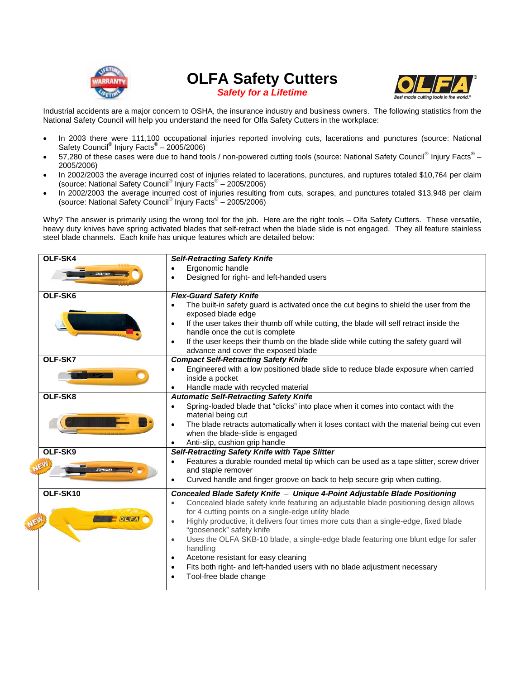

**OLFA Safety Cutters**  *Safety for a Lifetime* 



Industrial accidents are a major concern to OSHA, the insurance industry and business owners. The following statistics from the National Safety Council will help you understand the need for Olfa Safety Cutters in the workplace:

- In 2003 there were 111,100 occupational injuries reported involving cuts, lacerations and punctures (source: National Safety Council<sup>®</sup> Injury Facts<sup>®</sup> – 2005/2006)
- 57,280 of these cases were due to hand tools / non-powered cutting tools (source: National Safety Council<sup>®</sup> Injury Facts<sup>®</sup> 2005/2006)
- In 2002/2003 the average incurred cost of injuries related to lacerations, punctures, and ruptures totaled \$10,764 per claim (source: National Safety Council<sup>®</sup> Injury Facts<sup>®</sup> - 2005/2006)
- In 2002/2003 the average incurred cost of injuries resulting from cuts, scrapes, and punctures totaled \$13,948 per claim (source: National Safety Council<sup>®</sup> Injury Facts<sup>®</sup> - 2005/2006)

Why? The answer is primarily using the wrong tool for the job. Here are the right tools – Olfa Safety Cutters. These versatile, heavy duty knives have spring activated blades that self-retract when the blade slide is not engaged. They all feature stainless steel blade channels. Each knife has unique features which are detailed below:

| OLF-SK4  | <b>Self-Retracting Safety Knife</b>                                                                                               |  |  |  |  |
|----------|-----------------------------------------------------------------------------------------------------------------------------------|--|--|--|--|
|          | Ergonomic handle<br>$\bullet$                                                                                                     |  |  |  |  |
|          | Designed for right- and left-handed users                                                                                         |  |  |  |  |
| OLF-SK6  | <b>Flex-Guard Safety Knife</b>                                                                                                    |  |  |  |  |
|          | The built-in safety guard is activated once the cut begins to shield the user from the<br>$\bullet$                               |  |  |  |  |
|          | exposed blade edge                                                                                                                |  |  |  |  |
|          | If the user takes their thumb off while cutting, the blade will self retract inside the<br>$\bullet$                              |  |  |  |  |
|          | handle once the cut is complete                                                                                                   |  |  |  |  |
|          | If the user keeps their thumb on the blade slide while cutting the safety guard will                                              |  |  |  |  |
|          | advance and cover the exposed blade                                                                                               |  |  |  |  |
| OLF-SK7  | <b>Compact Self-Retracting Safety Knife</b>                                                                                       |  |  |  |  |
|          | Engineered with a low positioned blade slide to reduce blade exposure when carried                                                |  |  |  |  |
|          | inside a pocket                                                                                                                   |  |  |  |  |
| OLF-SK8  | Handle made with recycled material                                                                                                |  |  |  |  |
|          | <b>Automatic Self-Retracting Safety Knife</b><br>Spring-loaded blade that "clicks" into place when it comes into contact with the |  |  |  |  |
|          | material being cut                                                                                                                |  |  |  |  |
|          | The blade retracts automatically when it loses contact with the material being cut even<br>$\bullet$                              |  |  |  |  |
|          | when the blade-slide is engaged                                                                                                   |  |  |  |  |
|          | Anti-slip, cushion grip handle<br>$\bullet$                                                                                       |  |  |  |  |
| OLF-SK9  | Self-Retracting Safety Knife with Tape Slitter                                                                                    |  |  |  |  |
|          | Features a durable rounded metal tip which can be used as a tape slitter, screw driver<br>$\bullet$                               |  |  |  |  |
|          | and staple remover                                                                                                                |  |  |  |  |
|          | Curved handle and finger groove on back to help secure grip when cutting.<br>$\bullet$                                            |  |  |  |  |
| OLF-SK10 | Concealed Blade Safety Knife - Unique 4-Point Adjustable Blade Positioning                                                        |  |  |  |  |
|          | Concealed blade safety knife featuring an adjustable blade positioning design allows<br>$\bullet$                                 |  |  |  |  |
|          | for 4 cutting points on a single-edge utility blade                                                                               |  |  |  |  |
|          | Highly productive, it delivers four times more cuts than a single-edge, fixed blade<br>$\bullet$                                  |  |  |  |  |
|          | "gooseneck" safety knife                                                                                                          |  |  |  |  |
|          | Uses the OLFA SKB-10 blade, a single-edge blade featuring one blunt edge for safer<br>$\bullet$                                   |  |  |  |  |
|          | handling                                                                                                                          |  |  |  |  |
|          | Acetone resistant for easy cleaning<br>$\bullet$                                                                                  |  |  |  |  |
|          | Fits both right- and left-handed users with no blade adjustment necessary<br>$\bullet$                                            |  |  |  |  |
|          | Tool-free blade change                                                                                                            |  |  |  |  |
|          |                                                                                                                                   |  |  |  |  |